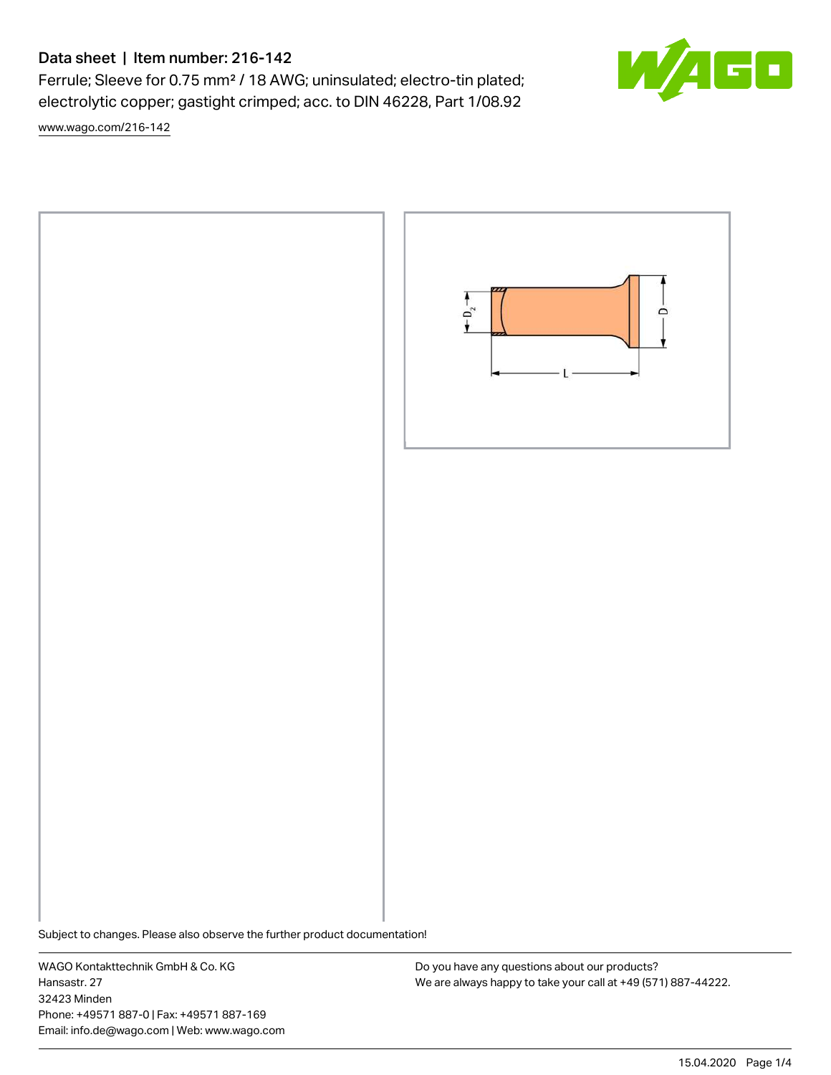# Data sheet | Item number: 216-142

Ferrule; Sleeve for 0.75 mm² / 18 AWG; uninsulated; electro-tin plated; electrolytic copper; gastight crimped; acc. to DIN 46228, Part 1/08.92

[www.wago.com/216-142](http://www.wago.com/216-142)



Subject to changes. Please also observe the further product documentation!

WAGO Kontakttechnik GmbH & Co. KG Hansastr. 27 32423 Minden Phone: +49571 887-0 | Fax: +49571 887-169 Email: info.de@wago.com | Web: www.wago.com

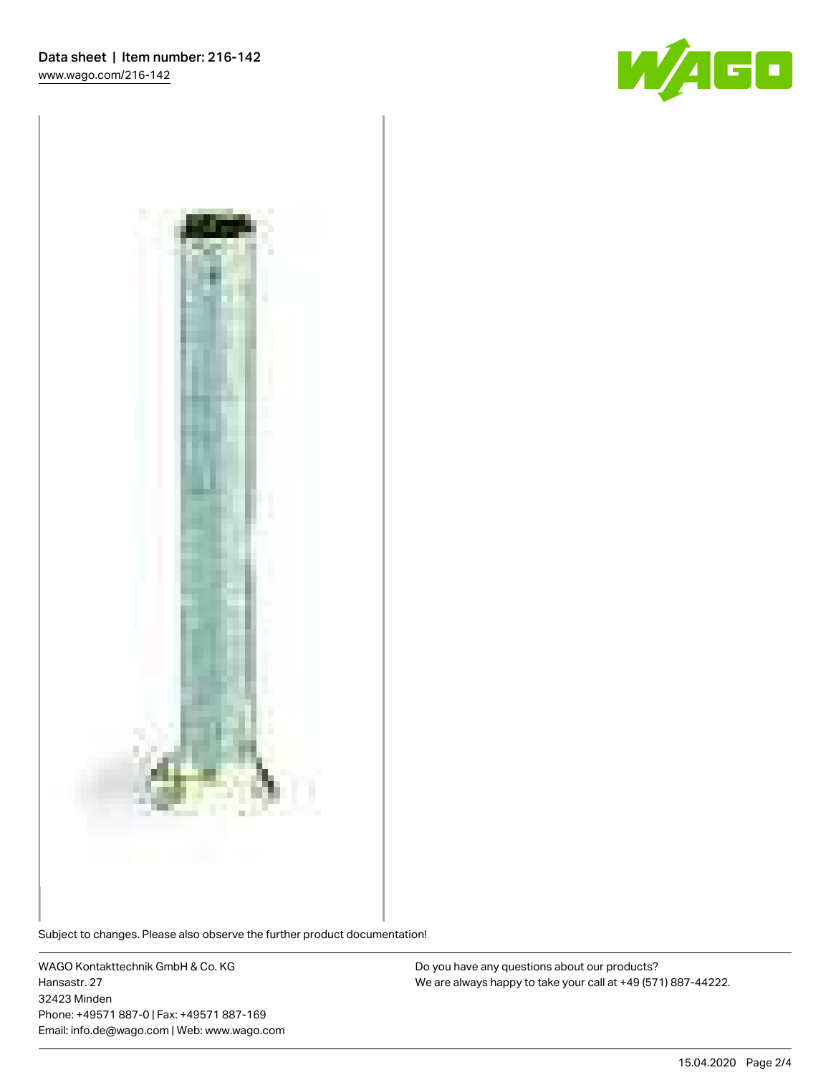



Subject to changes. Please also observe the further product documentation!

WAGO Kontakttechnik GmbH & Co. KG Hansastr. 27 32423 Minden Phone: +49571 887-0 | Fax: +49571 887-169 Email: info.de@wago.com | Web: www.wago.com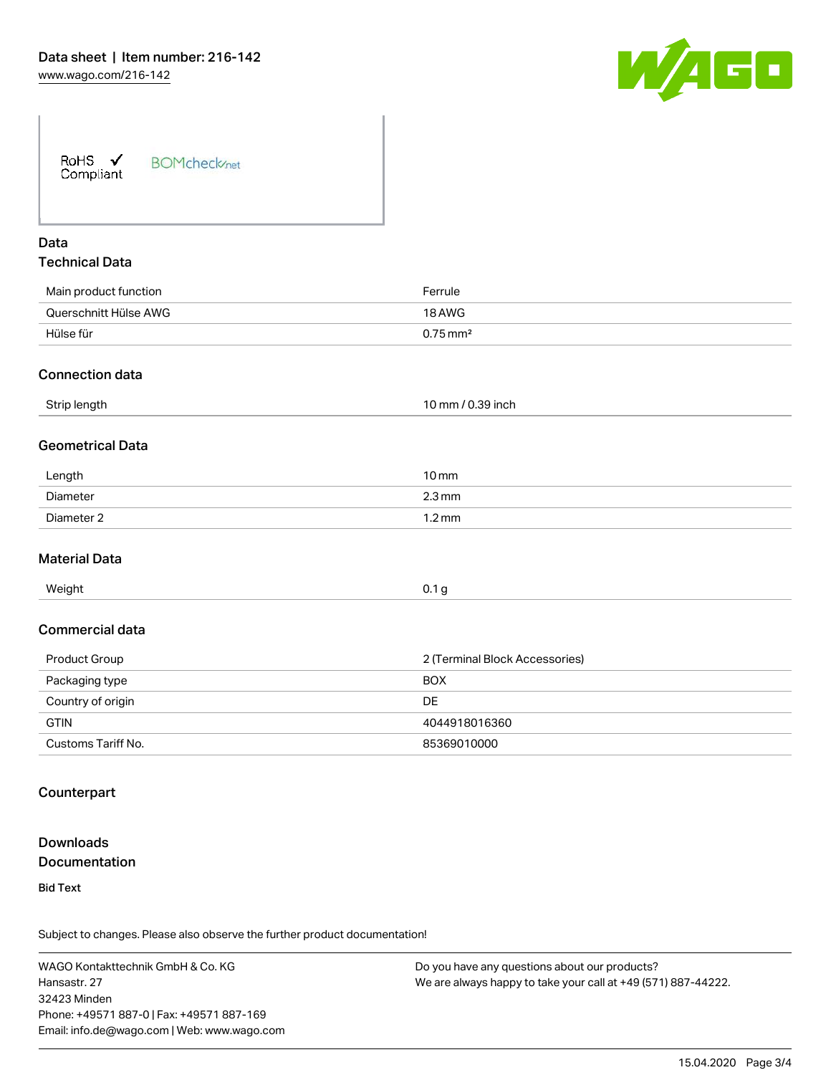

| RoHS $\checkmark$<br>Compliant | <b>BOMcheck</b> /net |
|--------------------------------|----------------------|
|--------------------------------|----------------------|

# Data Technical Data

| Main product function | Ferrule                |
|-----------------------|------------------------|
| Querschnitt Hülse AWG | 18 AWG                 |
| Hülse für             | $0.75 \,\mathrm{mm}^2$ |
|                       |                        |

#### Connection data

| Strip length | / 0.39 inch<br>.0 mm |
|--------------|----------------------|
|              |                      |

#### Geometrical Data

| Length     | $10 \,\mathrm{mm}$  |
|------------|---------------------|
| Diameter   | $2.3 \,\mathrm{mm}$ |
| Diameter 2 | .2 mm               |

#### Material Data

| Weight | 0.1 <sub>g</sub> |
|--------|------------------|
|        |                  |

#### Commercial data

| Product Group      | 2 (Terminal Block Accessories) |  |
|--------------------|--------------------------------|--|
| Packaging type     | <b>BOX</b>                     |  |
| Country of origin  | <b>DE</b>                      |  |
| <b>GTIN</b>        | 4044918016360                  |  |
| Customs Tariff No. | 85369010000                    |  |

#### **Counterpart**

# Downloads **Documentation**

Bid Text

Subject to changes. Please also observe the further product documentation!

WAGO Kontakttechnik GmbH & Co. KG Hansastr. 27 32423 Minden Phone: +49571 887-0 | Fax: +49571 887-169 Email: info.de@wago.com | Web: www.wago.com